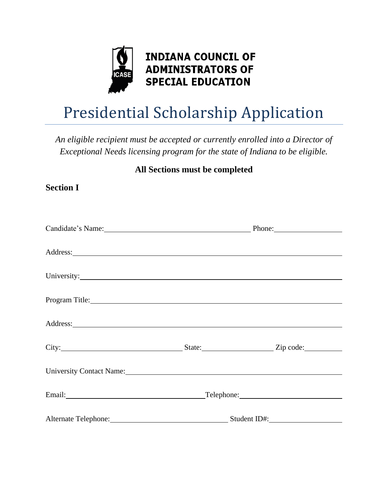

# **INDIANA COUNCIL OF ADMINISTRATORS OF SPECIAL EDUCATION**

# Presidential Scholarship Application

*An eligible recipient must be accepted or currently enrolled into a Director of Exceptional Needs licensing program for the state of Indiana to be eligible.*

## **All Sections must be completed**

**Section I**

| Candidate's Name: Phone: Phone:                                                                                      |                                            |  |  |  |
|----------------------------------------------------------------------------------------------------------------------|--------------------------------------------|--|--|--|
|                                                                                                                      |                                            |  |  |  |
|                                                                                                                      |                                            |  |  |  |
|                                                                                                                      |                                            |  |  |  |
|                                                                                                                      |                                            |  |  |  |
| Program Title: No. 2014                                                                                              |                                            |  |  |  |
|                                                                                                                      |                                            |  |  |  |
|                                                                                                                      |                                            |  |  |  |
| University Contact Name: 1986 and 2008 and 2008 and 2008 and 2008 and 2008 and 2008 and 2008 and 2008 and 2008 $\mu$ |                                            |  |  |  |
| Email: <u>Alexander School (Alexander School)</u>                                                                    | Telephone: New York Changes and Telephone: |  |  |  |
|                                                                                                                      | Alternate Telephone: Student ID#:          |  |  |  |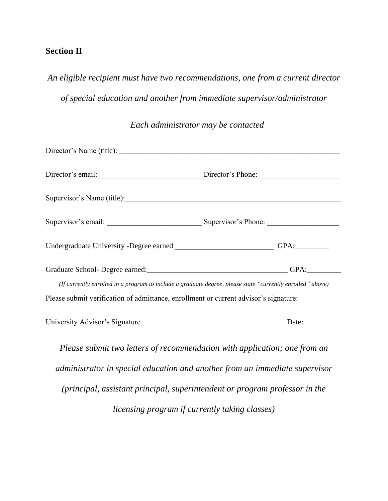#### **Section II**

*An eligible recipient must have two recommendations, one from a current director* 

*of special education and another from immediate supervisor/administrator* 

#### *Each administrator may be contacted*

| Director's email: Director's Phone:                                                                                                                                                                |      |  |  |  |
|----------------------------------------------------------------------------------------------------------------------------------------------------------------------------------------------------|------|--|--|--|
|                                                                                                                                                                                                    |      |  |  |  |
|                                                                                                                                                                                                    |      |  |  |  |
|                                                                                                                                                                                                    |      |  |  |  |
|                                                                                                                                                                                                    | GPA: |  |  |  |
| (If currently enrolled in a program to include a graduate degree, please state "currently enrolled" above)<br>Please submit verification of admittance, enrollment or current advisor's signature: |      |  |  |  |
|                                                                                                                                                                                                    |      |  |  |  |
|                                                                                                                                                                                                    |      |  |  |  |

*Please submit two letters of recommendation with application; one from an administrator in special education and another from an immediate supervisor (principal, assistant principal, superintendent or program professor in the licensing program if currently taking classes)*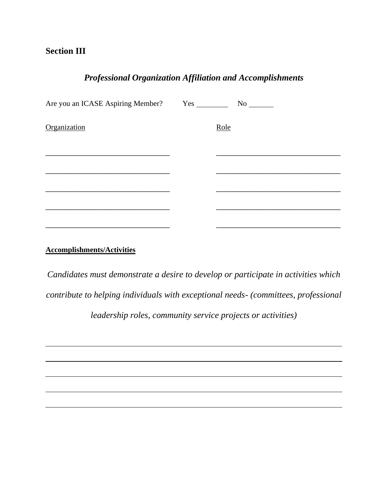#### **Section III**

### *Professional Organization Affiliation and Accomplishments*

| Organization | Role |  |
|--------------|------|--|
|              |      |  |
|              |      |  |
|              |      |  |
|              |      |  |
|              |      |  |
|              |      |  |

#### **Accomplishments/Activities**

*Candidates must demonstrate a desire to develop or participate in activities which contribute to helping individuals with exceptional needs- (committees, professional* 

*leadership roles, community service projects or activities)*